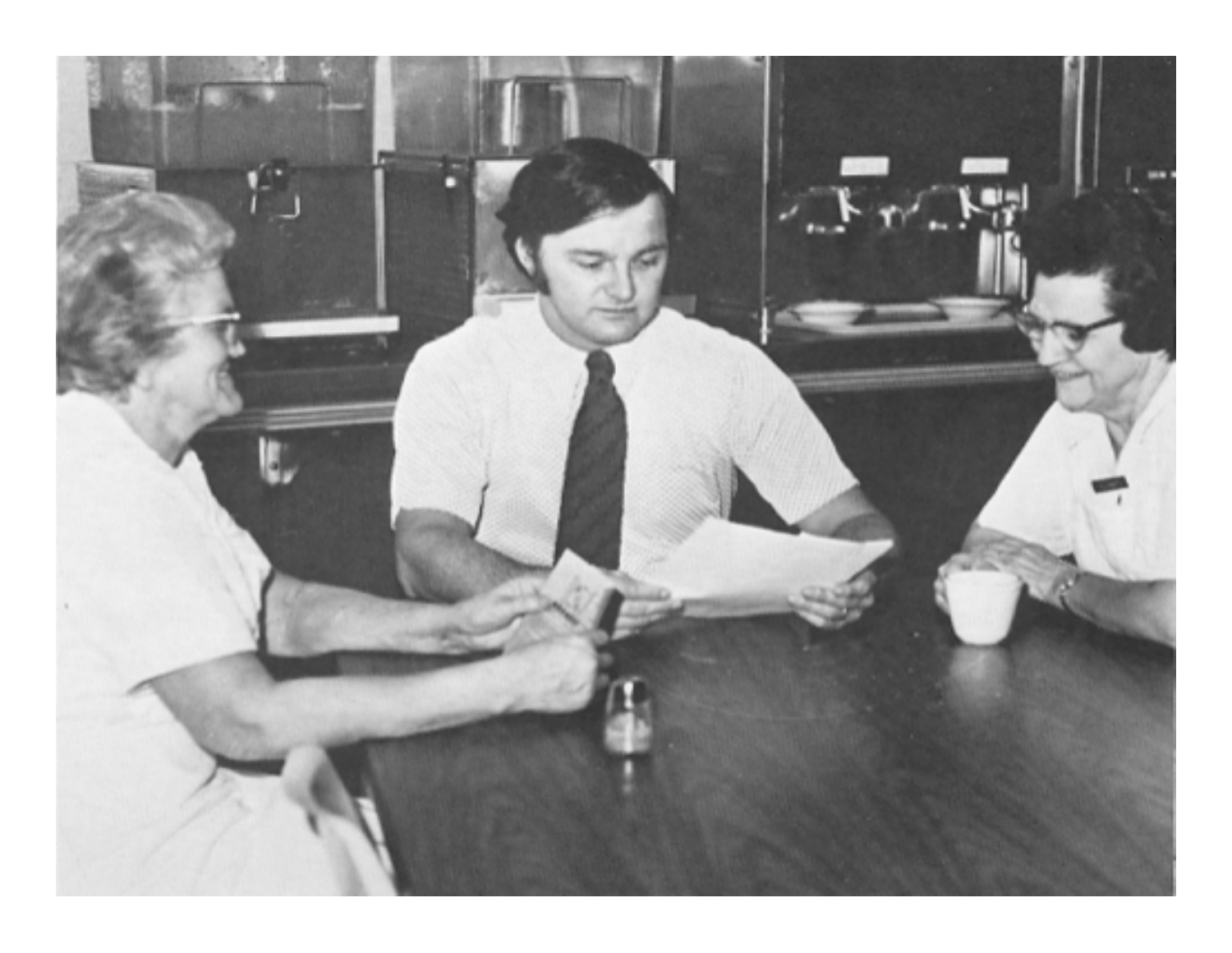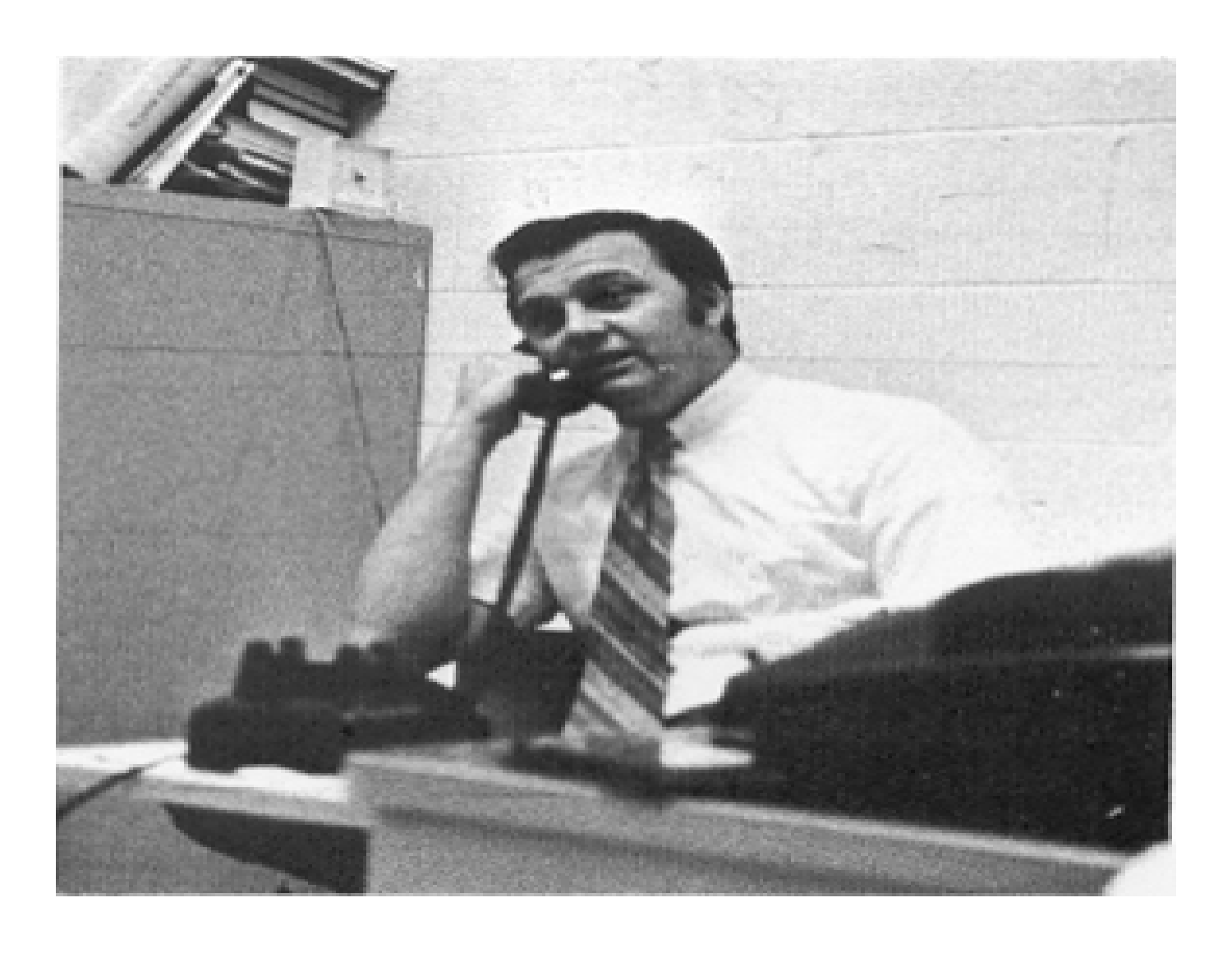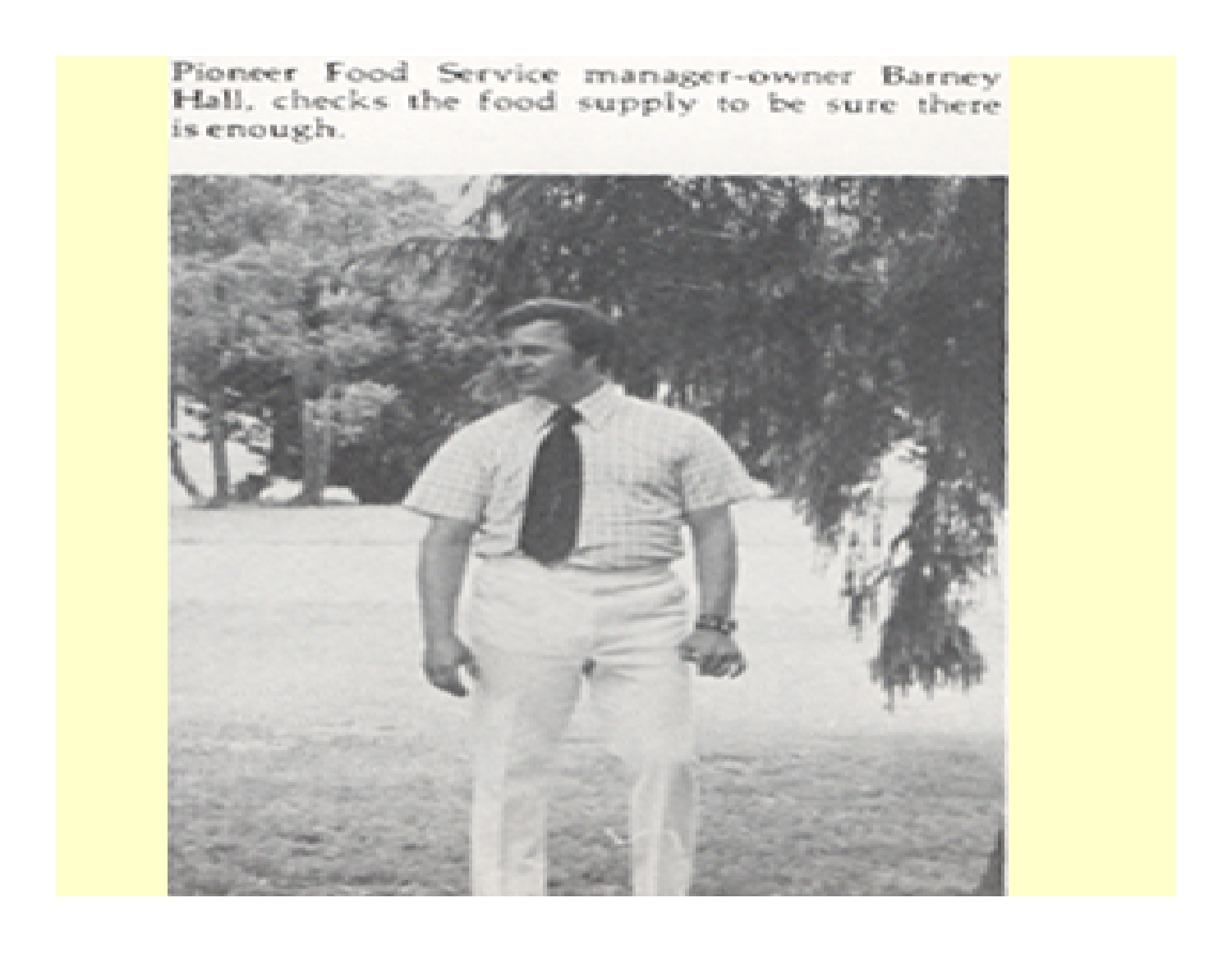Pioneer Food Service manager-owner Barney<br>Hall, checks the food supply to be sure there is enough.

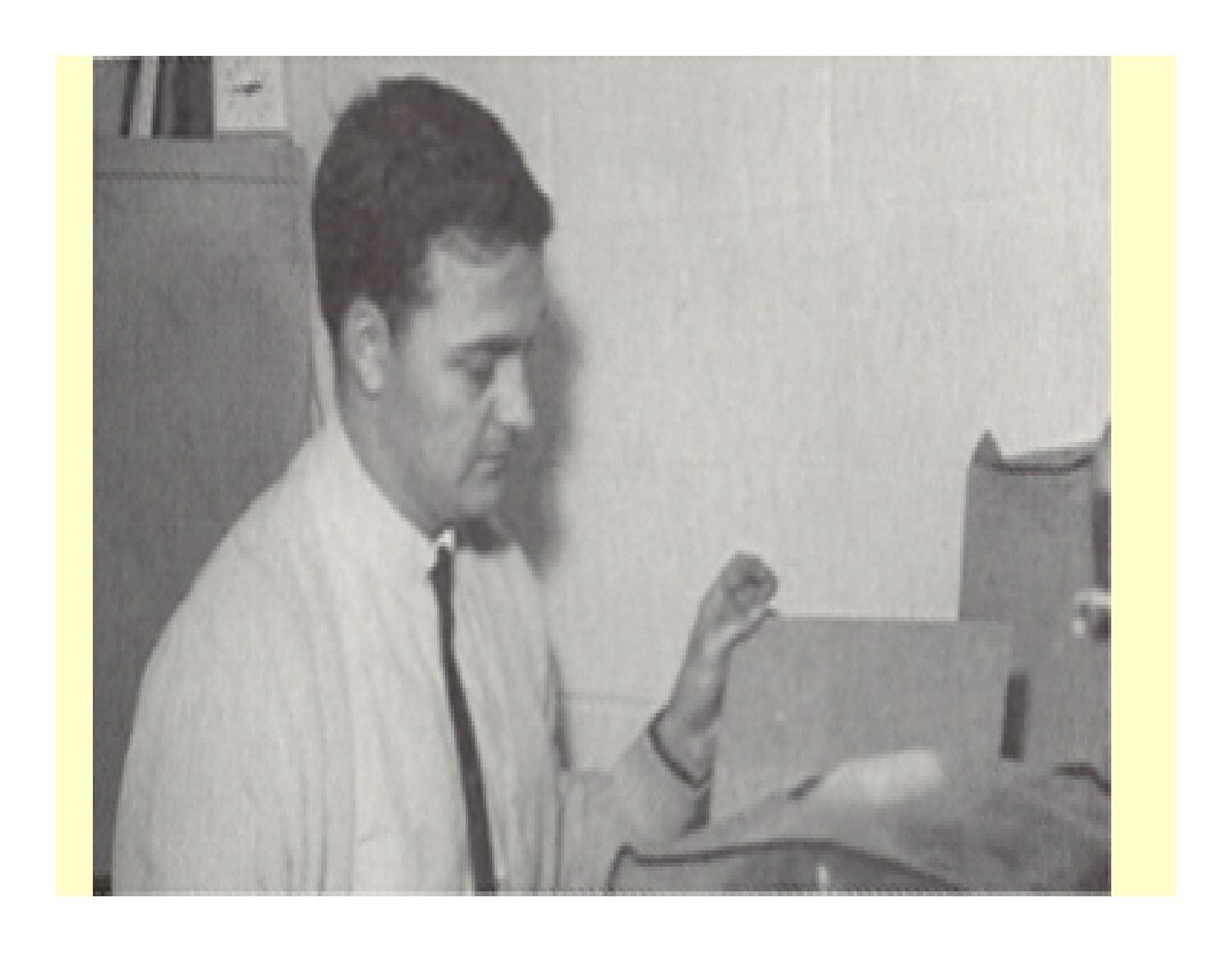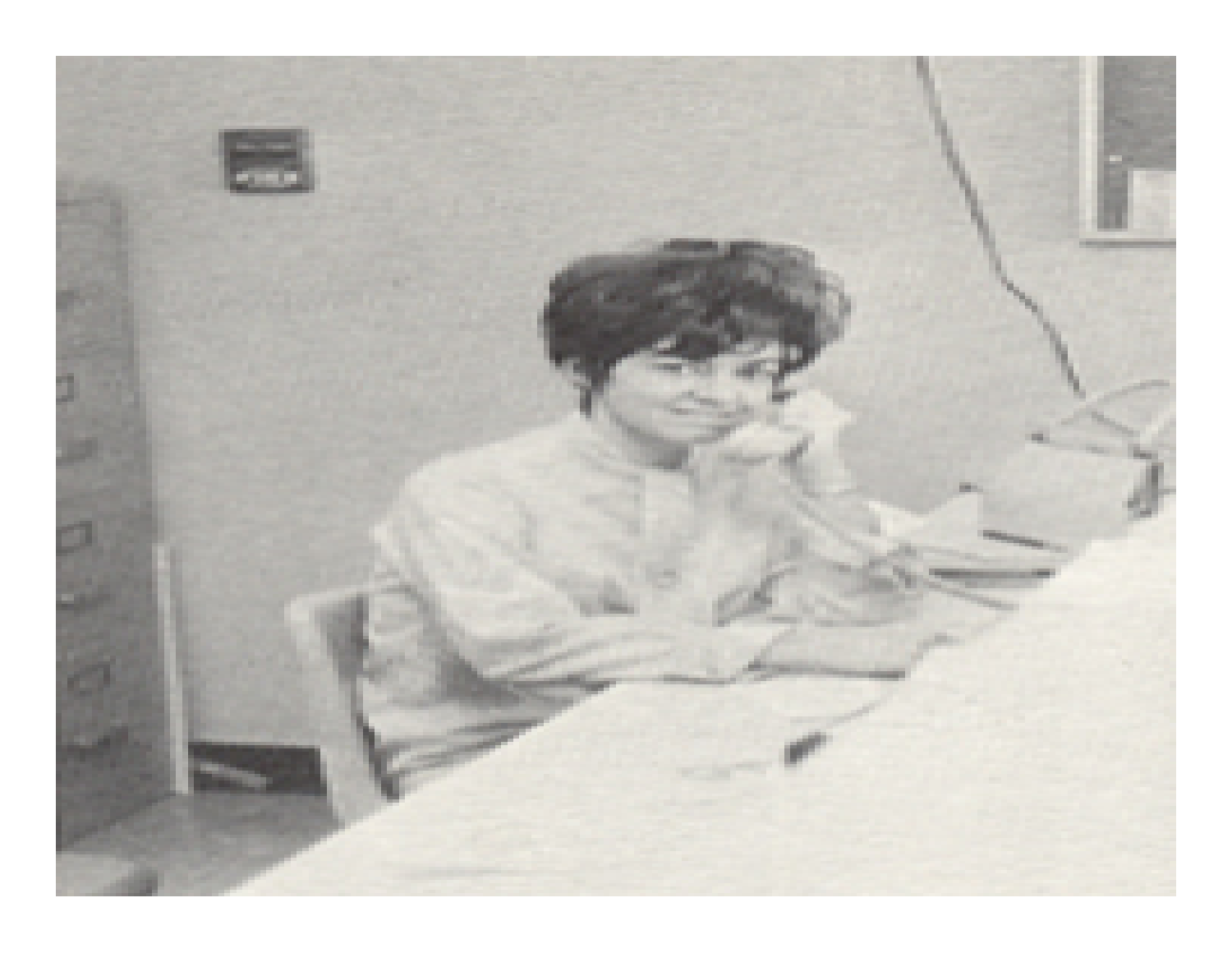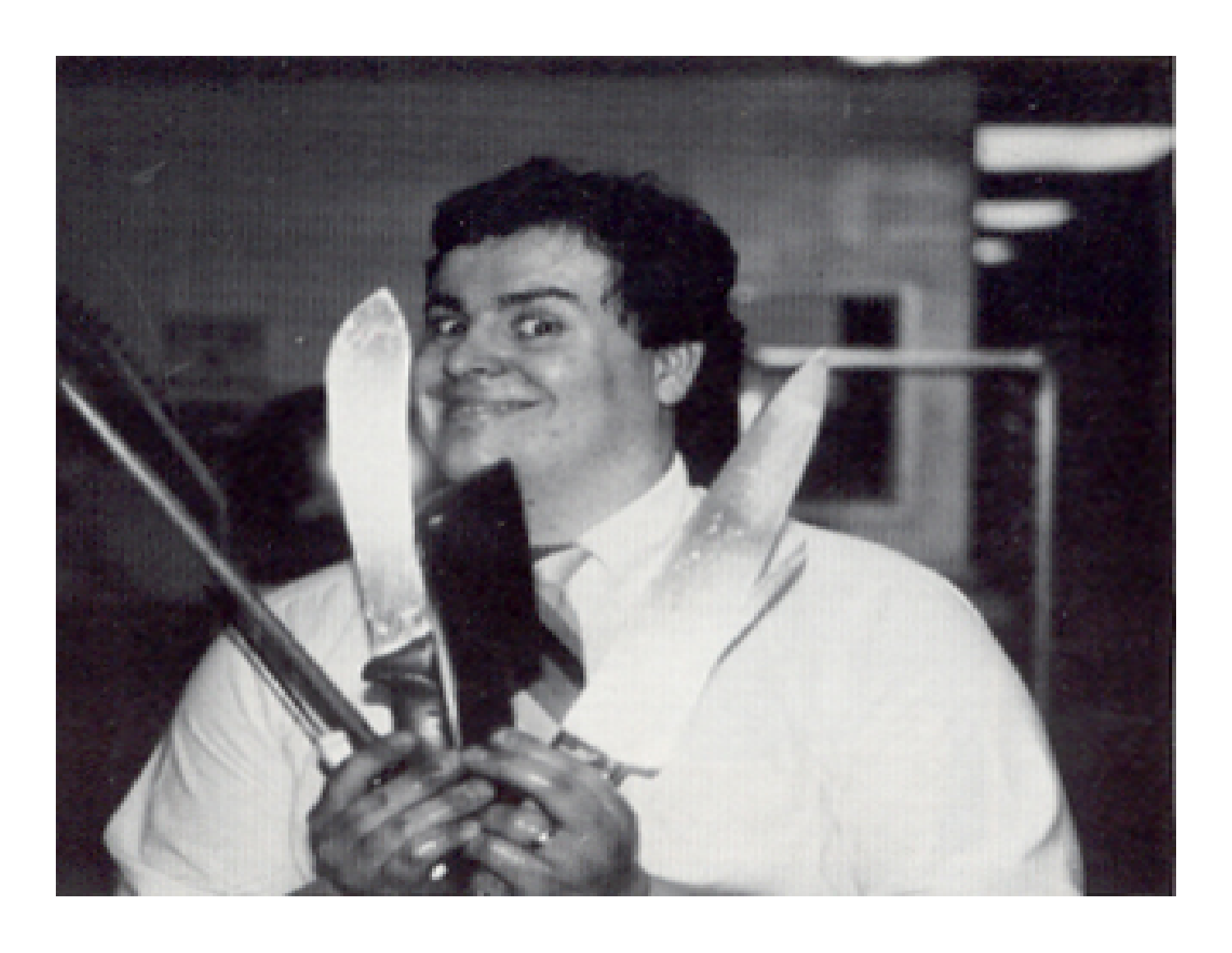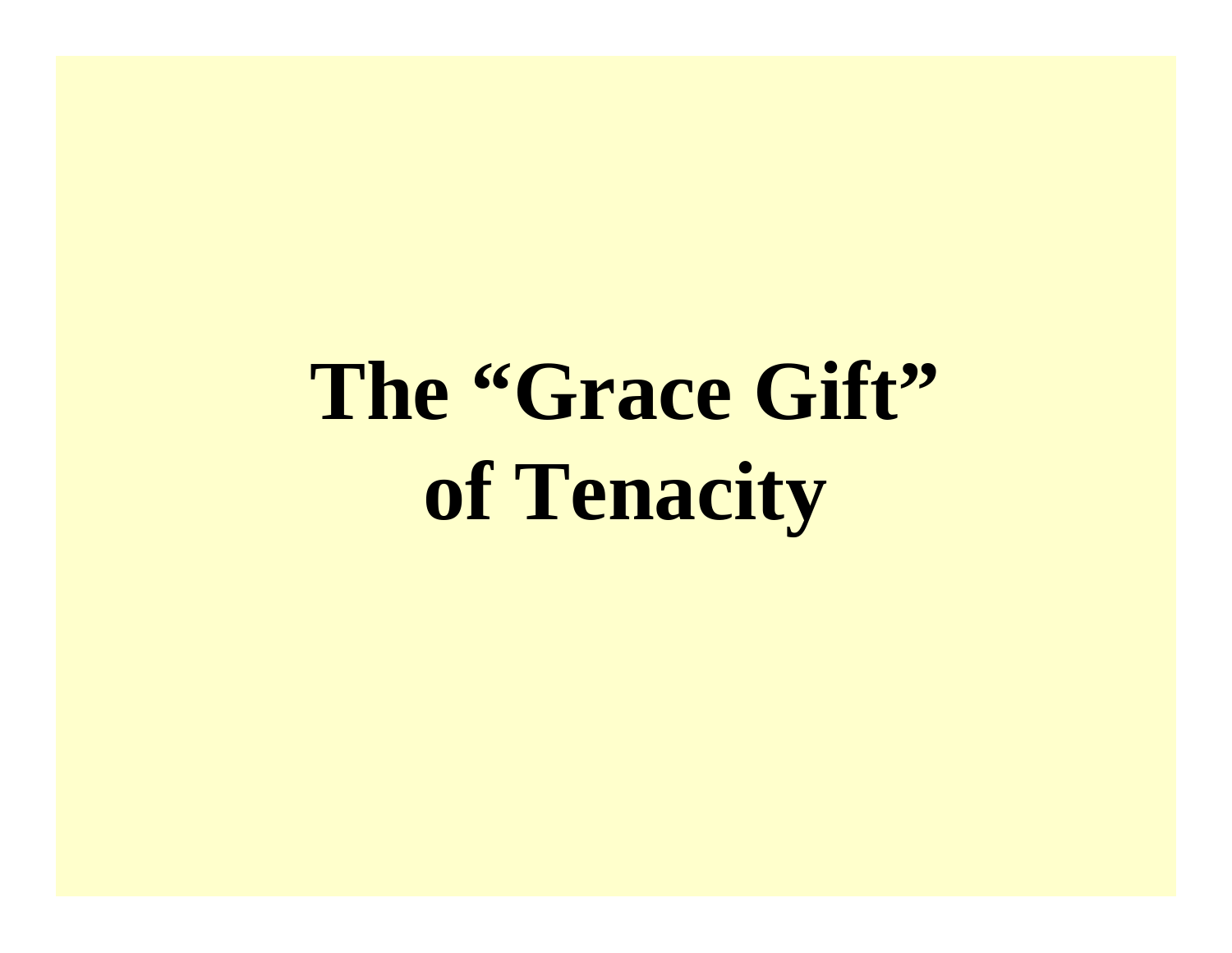# The "Grace Gift" **of Tenacity**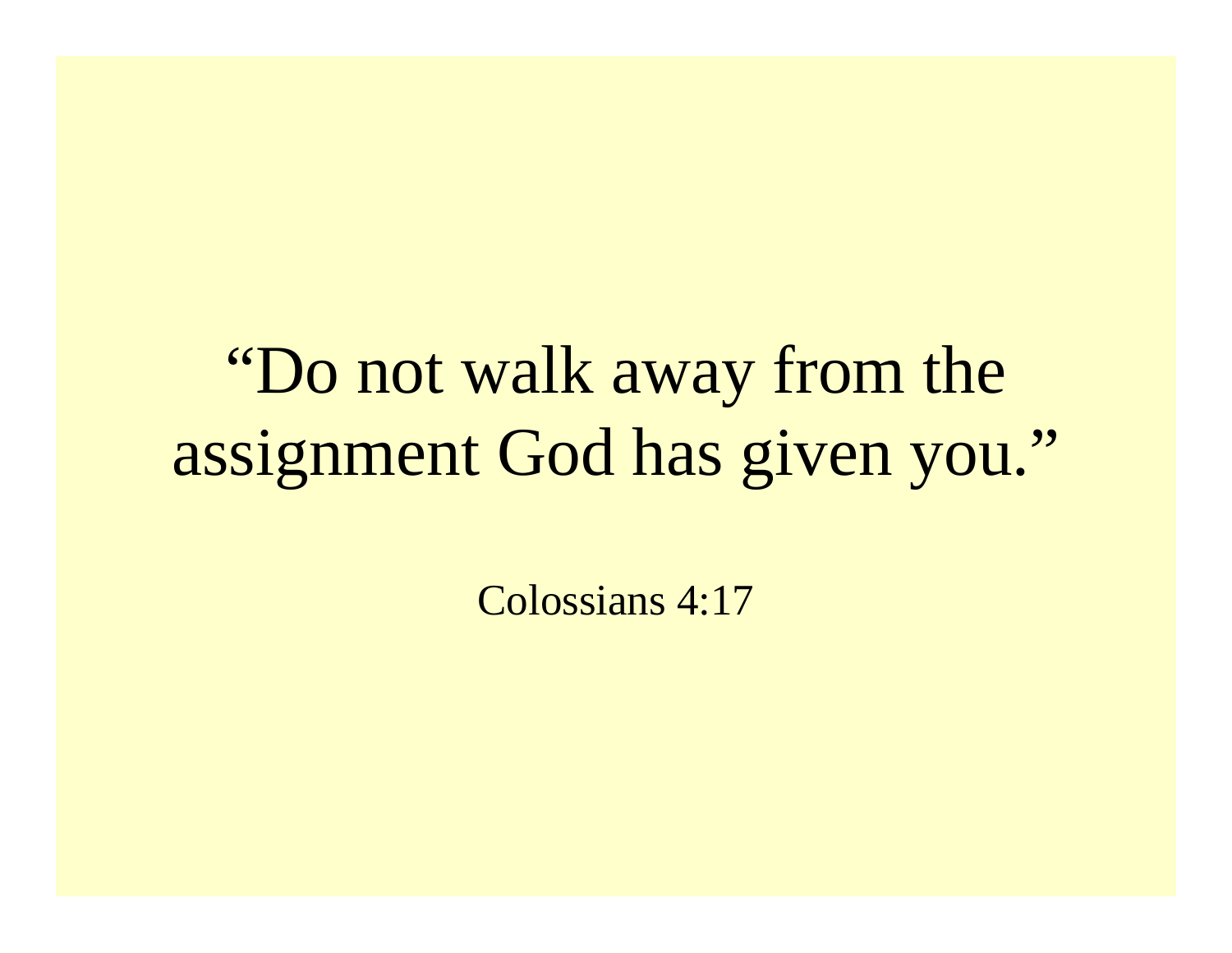#### "Do not walk away from the assignment God has given you."

Colossians 4:17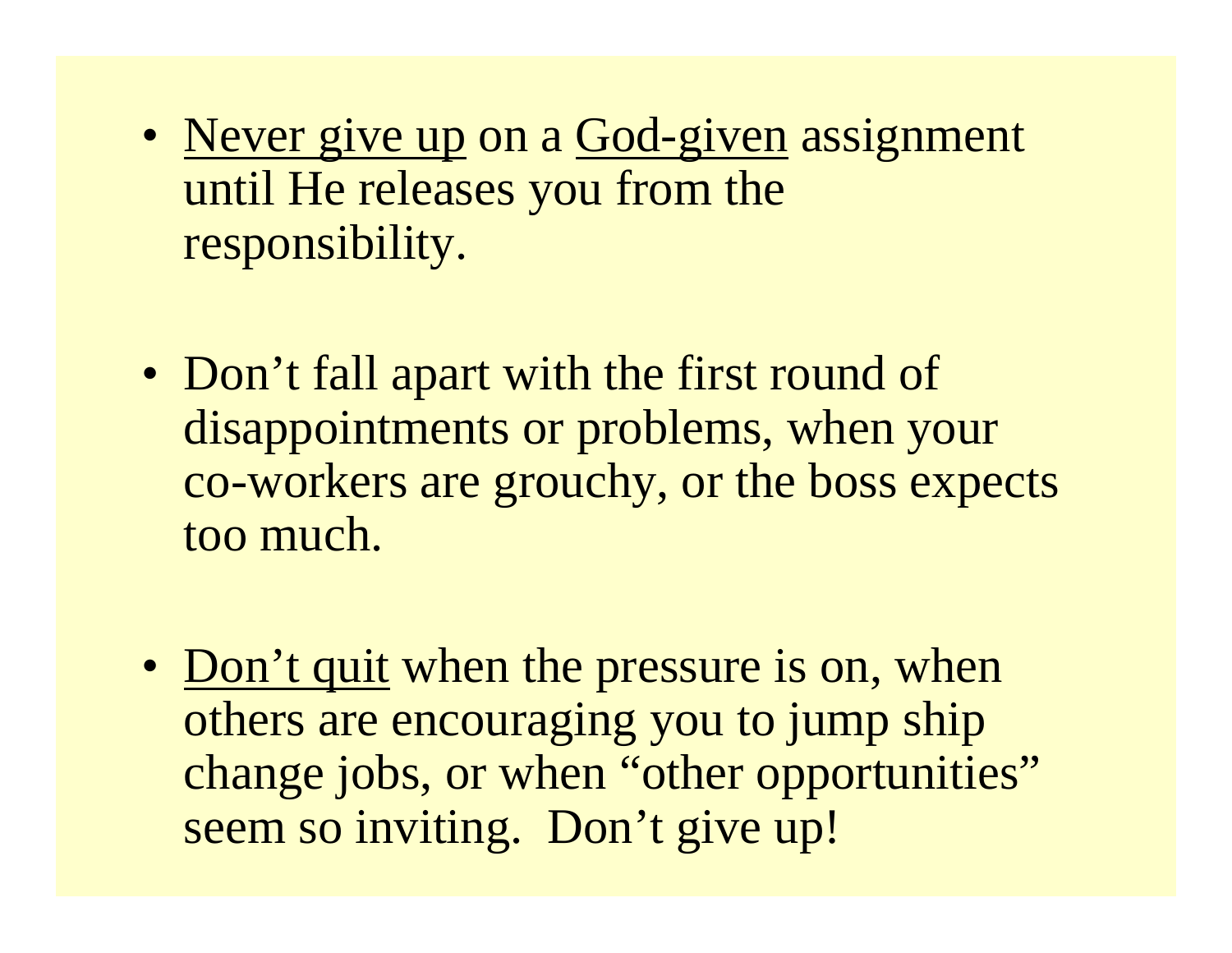- Never give up on a God-given assignment until He releases you from the responsibility.
- Don't fall apart with the first round of disappointments or problems, when your co-workers are grouchy, or the boss expects too much.
- Don't quit when the pressure is on, when others are encouraging you to jump ship change jobs, or when "other opportunities" seem so inviting. Don't give up!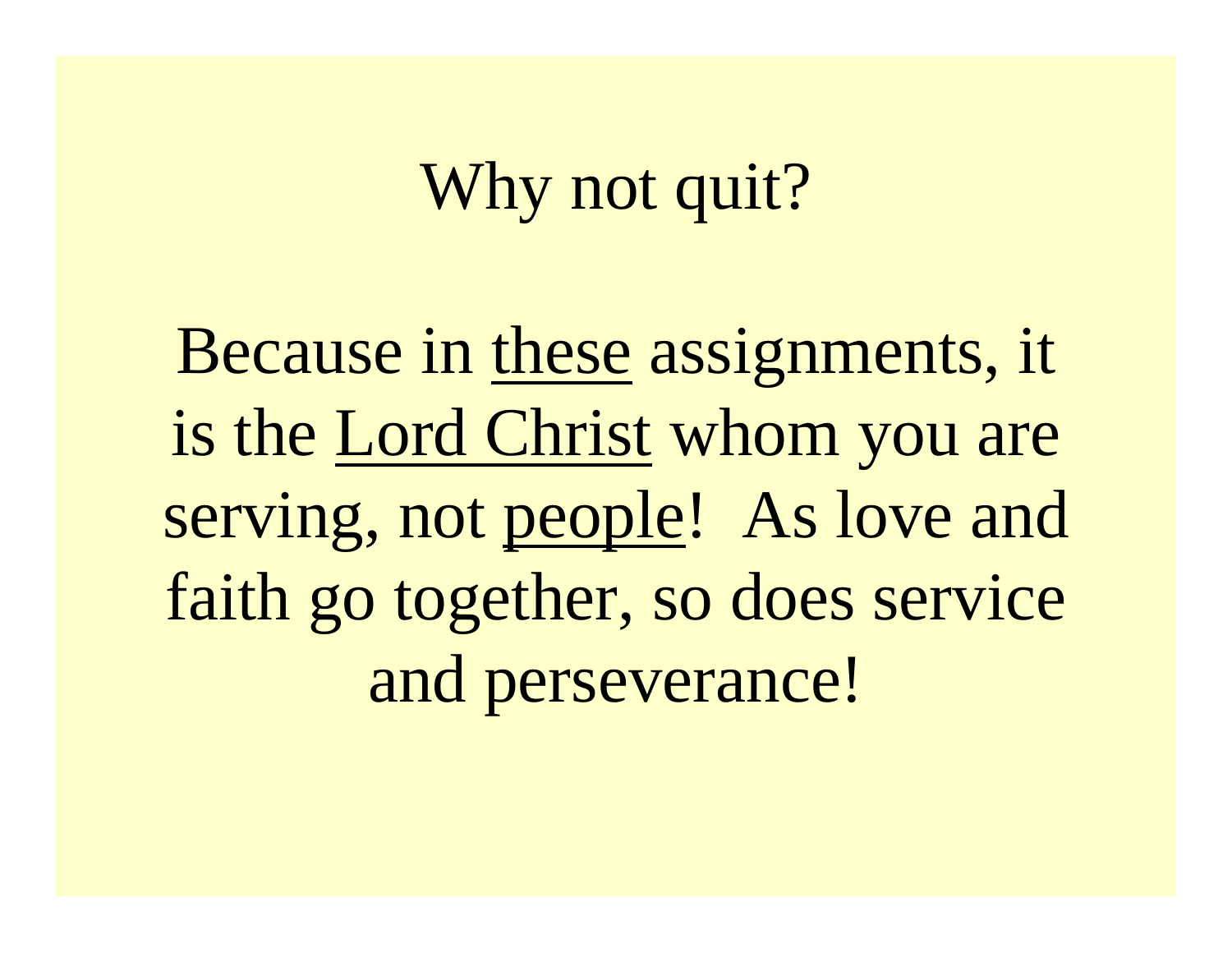#### Why not quit?

Because in these assignments, it is the Lord Christ whom you are serving, not people! As love and faith go together, so does service and perseverance!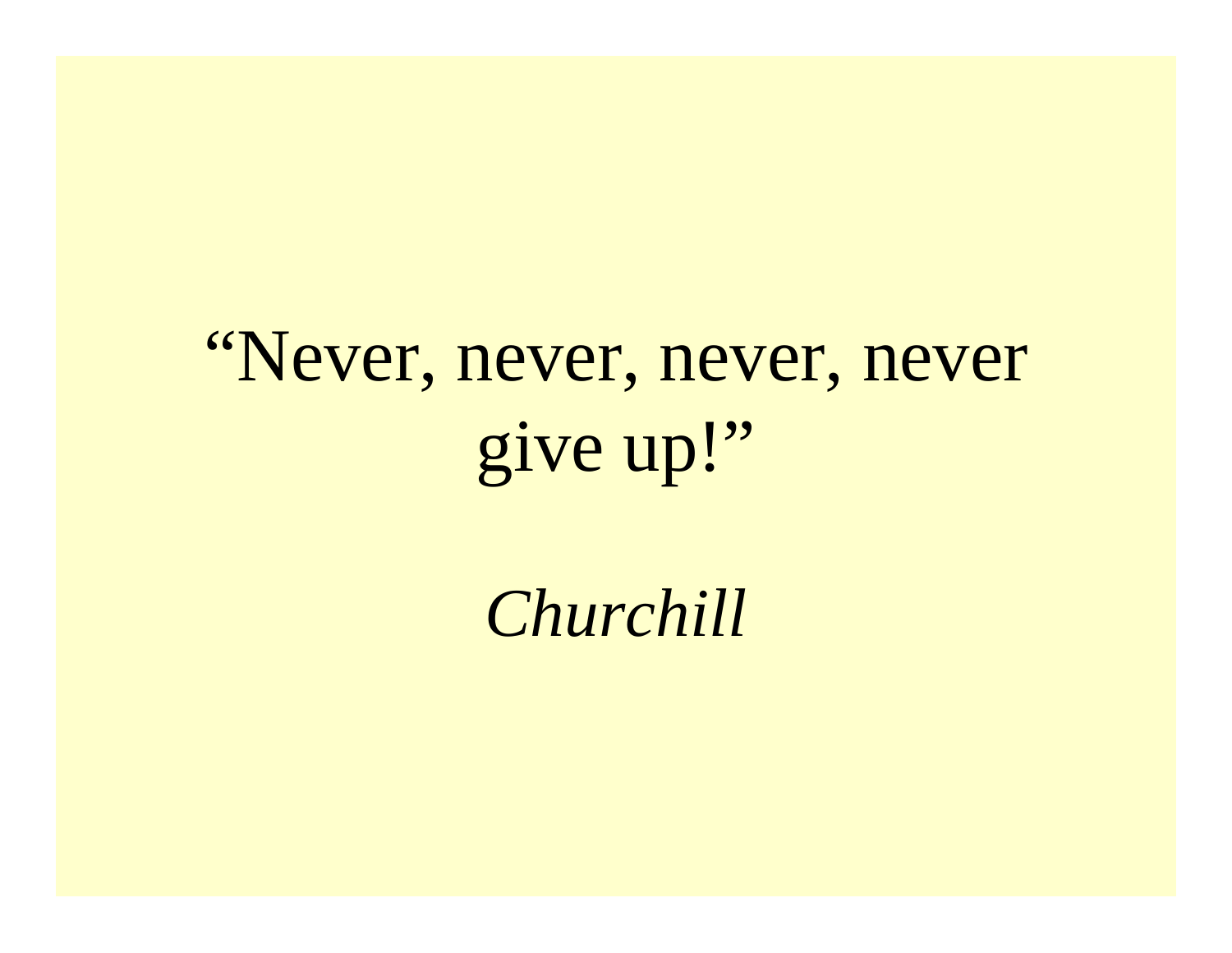# "Never, never, never, never give up!"

*Churchill*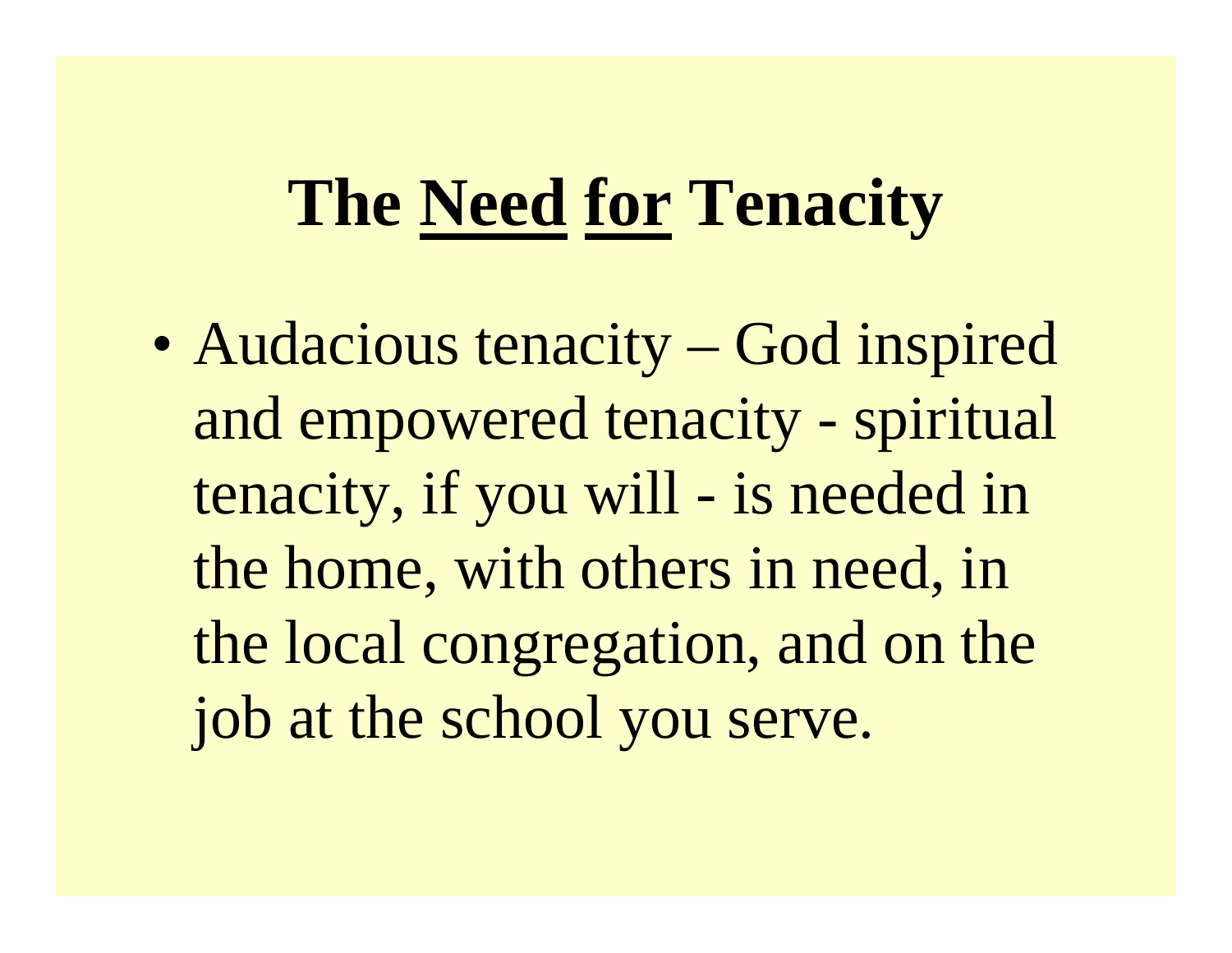### **The Need for Tenacity**

• Audacious tenacity – God inspired and empowered tenacity - spiritual tenacity, if you will - is needed in the home, with others in need, in the local congregation, and on the job at the school you serve.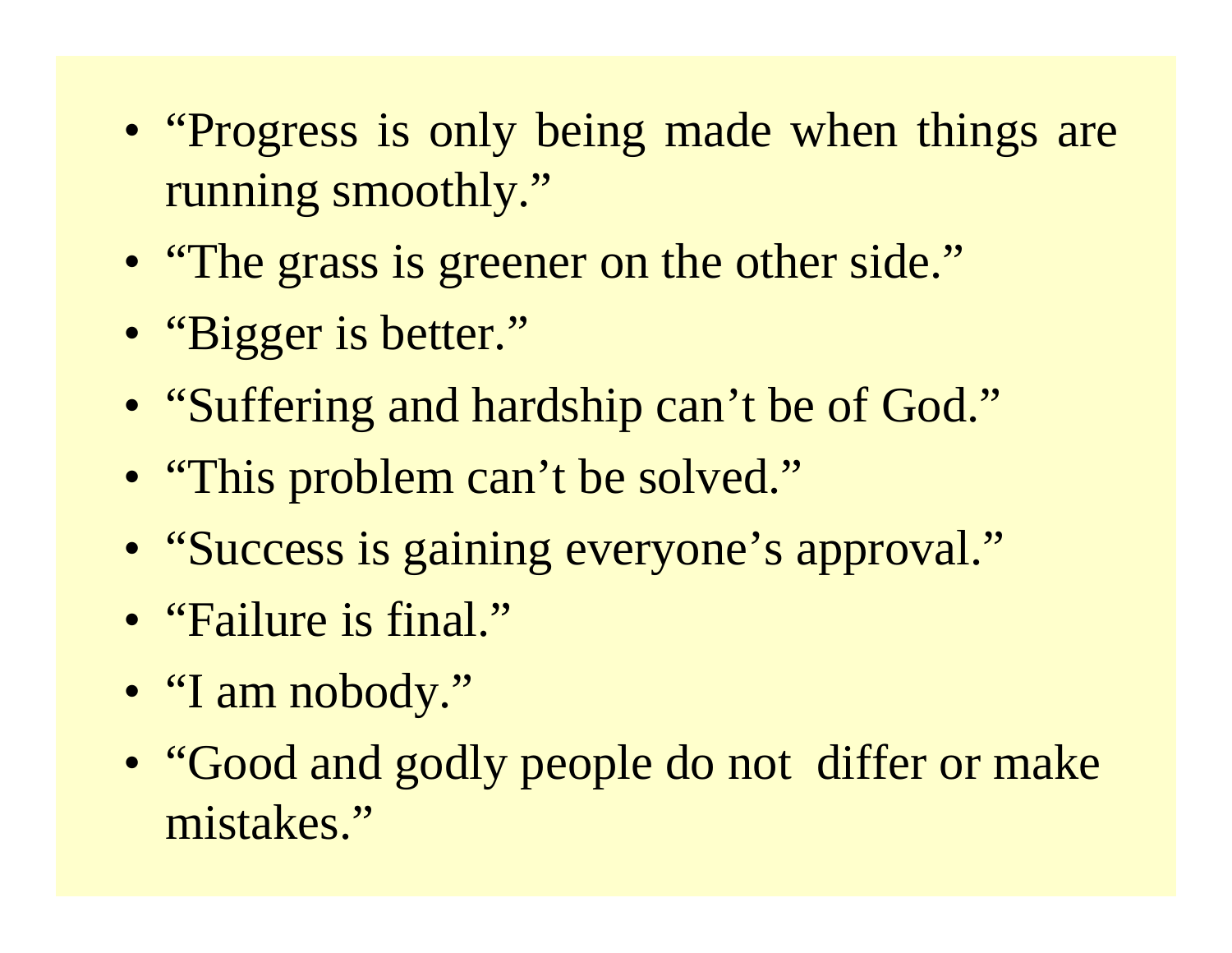- "Progress is only being made when things are running smoothly."
- "The grass is greener on the other side."
- "Bigger is better."
- "Suffering and hardship can't be of God."
- "This problem can't be solved."
- "Success is gaining everyone's approval."
- "Failure is final."
- "I am nobody."
- "Good and godly people do not differ or make mistakes."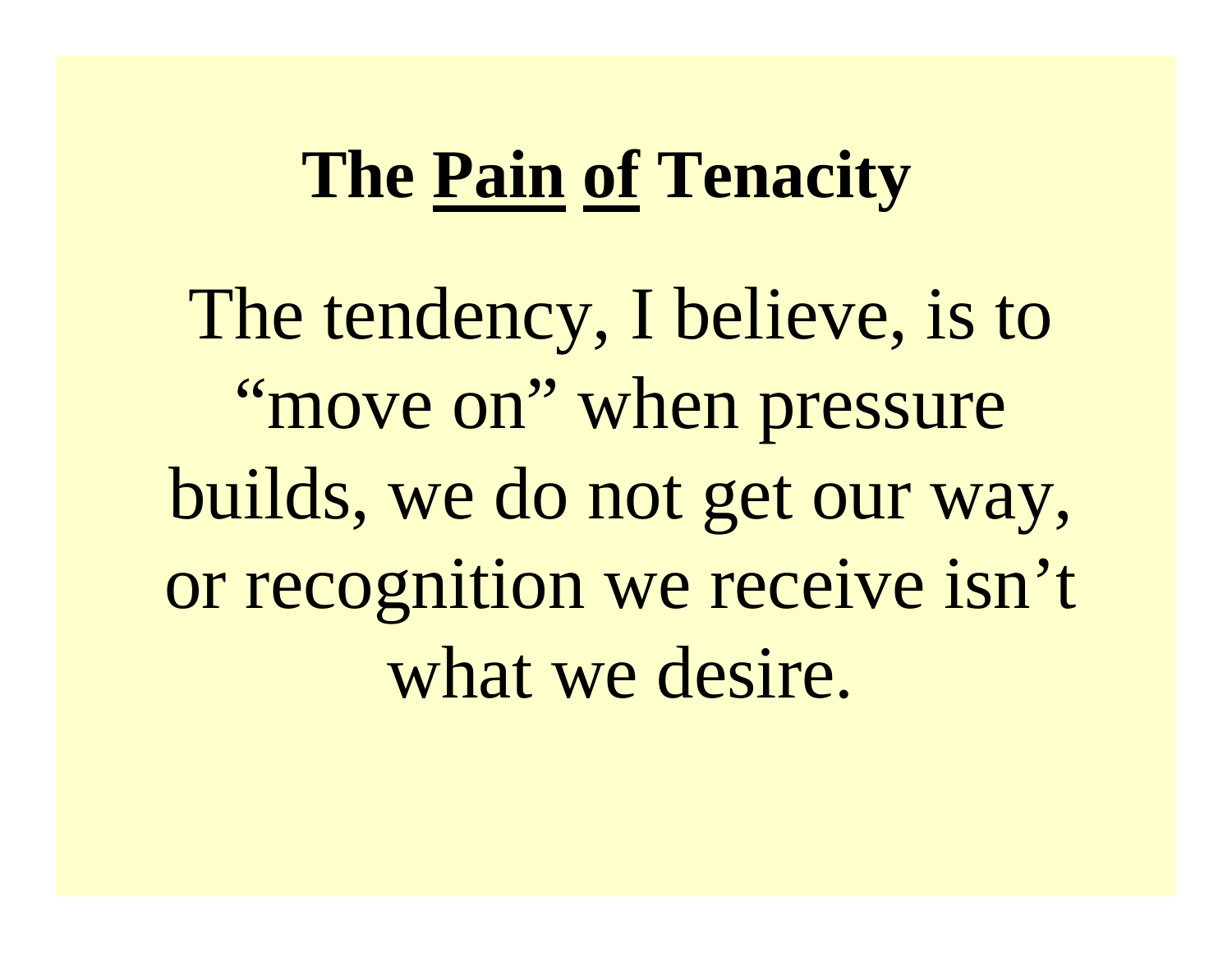### **The Pain of Tenacity**

The tendency, I believe, is to "move on" when pressure builds, we do not get our way, or recognition we receive isn't what we desire.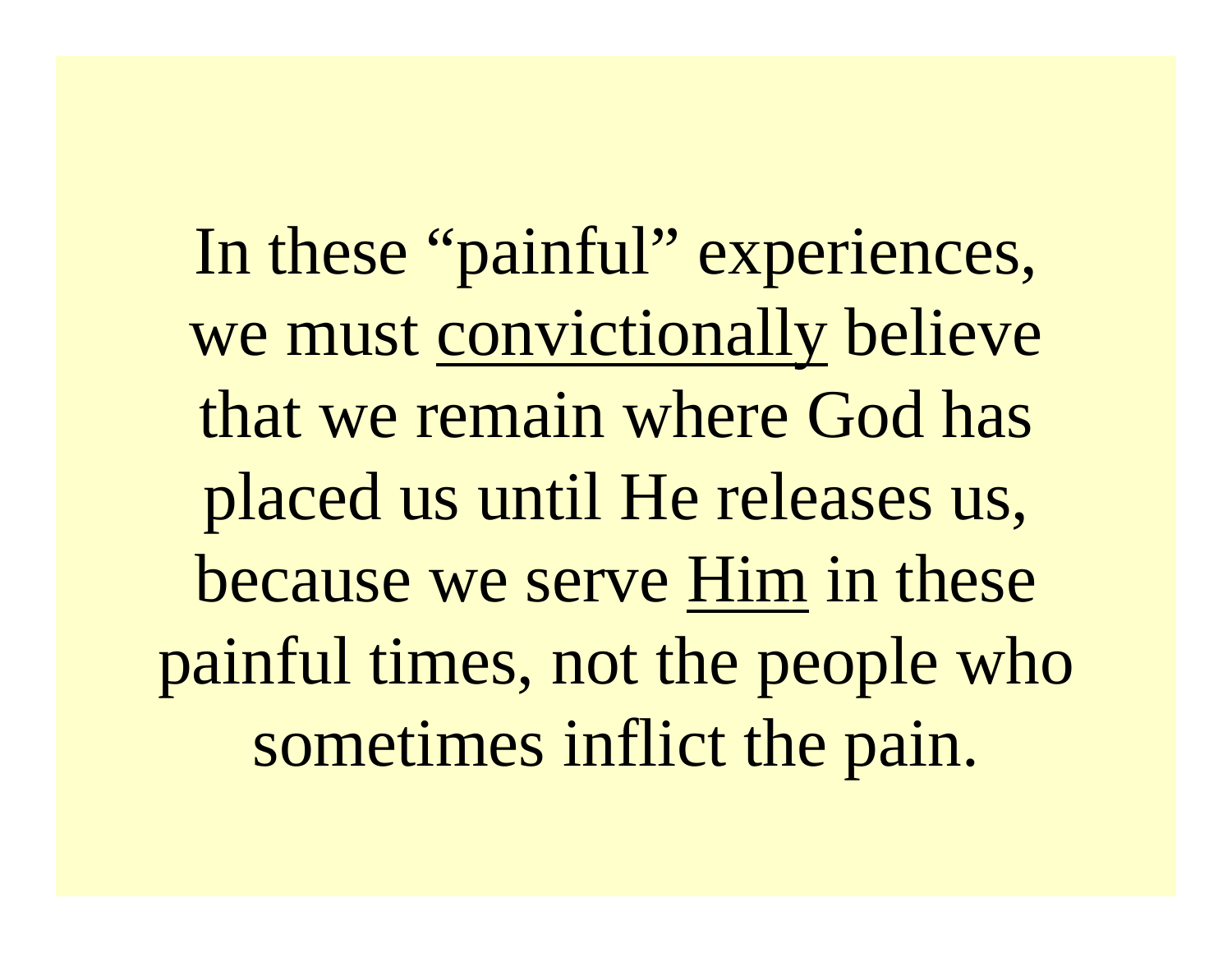In these "painful" experiences, we must convictionally believe that we remain where God has placed us until He releases us, because we serve Him in these painful times, not the people who sometimes inflict the pain.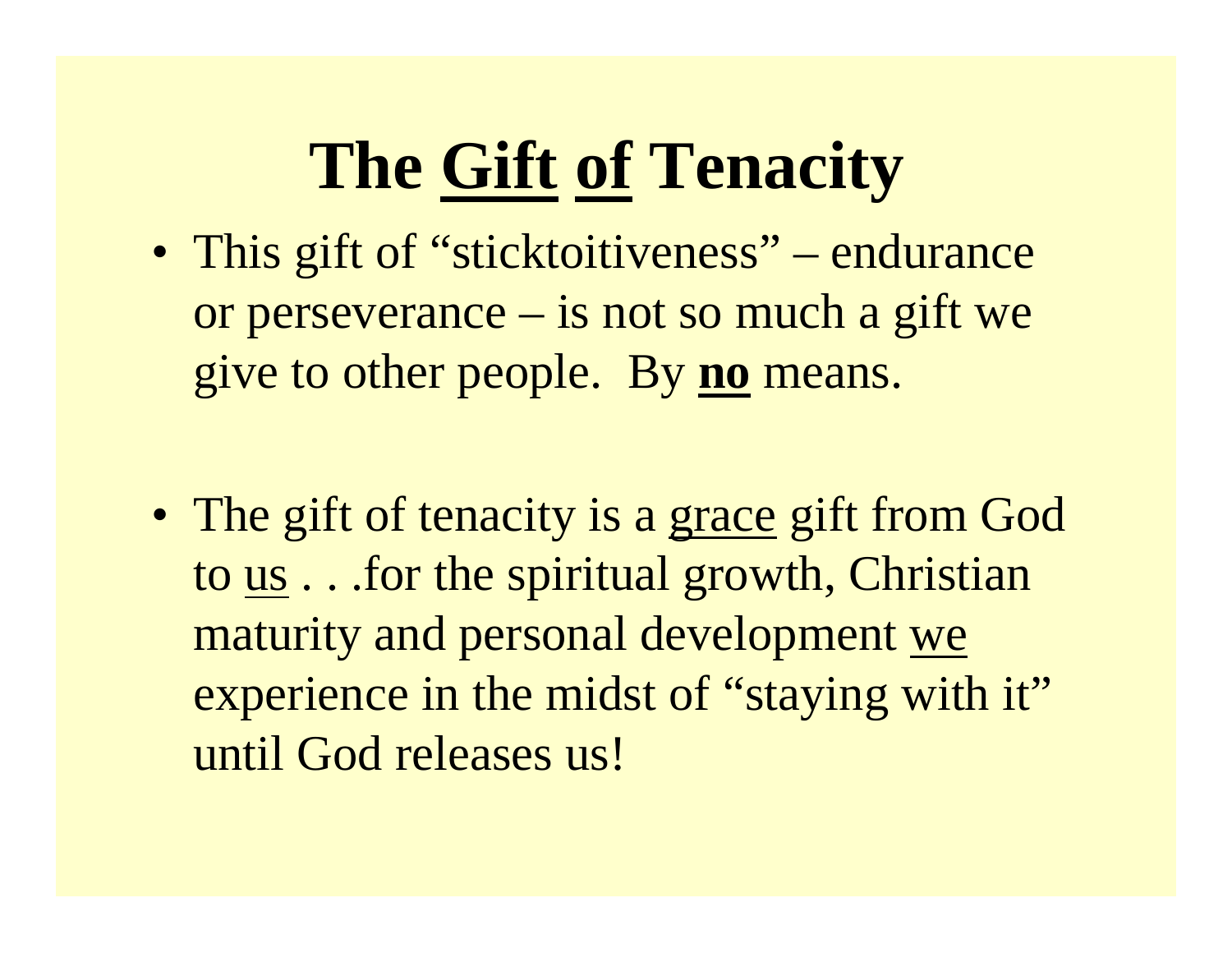## **The Gift of Tenacity**

• This gift of "sticktoitiveness" – endurance or perseverance – is not so much a gift we give to other people. By **no** means.

• The gift of tenacity is a grace gift from God to us . . .for the spiritual growth, Christian maturity and personal development we experience in the midst of "staying with it" until God releases us!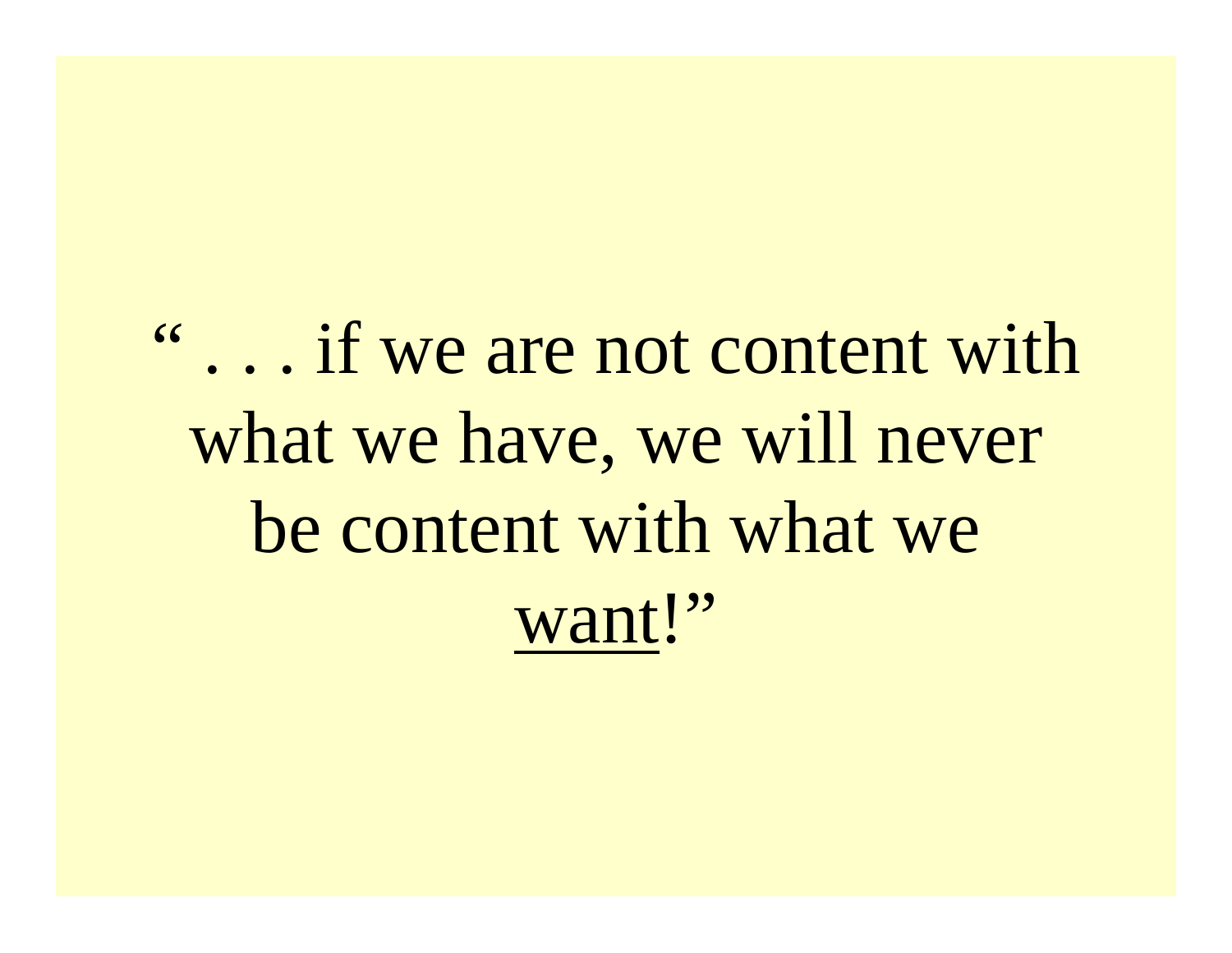"... if we are not content with what we have, we will never be content with what we want!"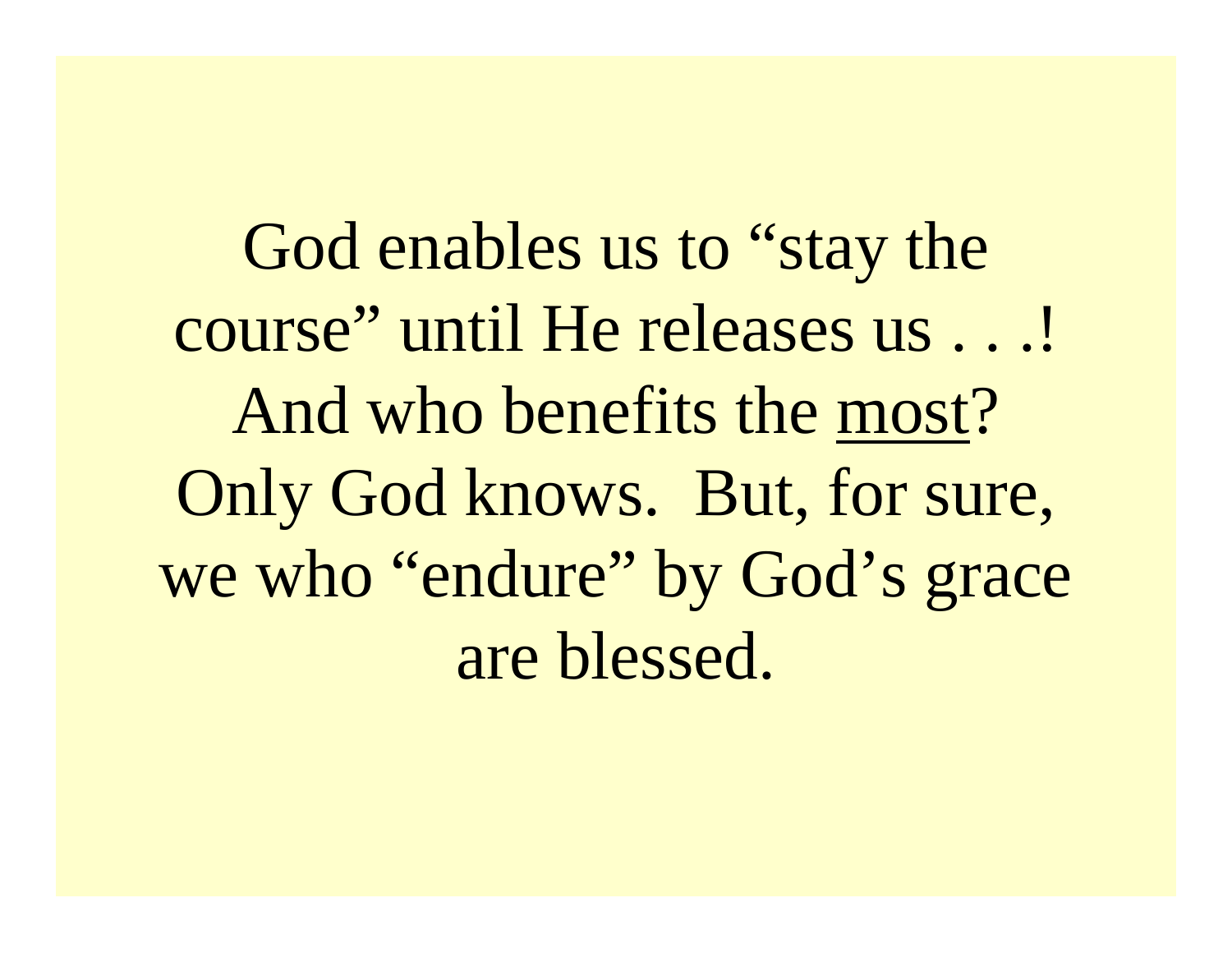God enables us to "stay the course" until He releases us . . .! And who benefits the most? Only God knows. But, for sure, we who "endure" by God's grace are blessed.